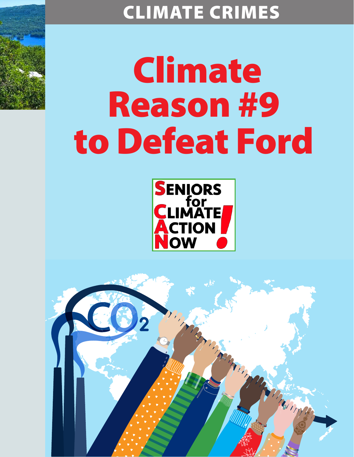# CLIMATE CRIMES

# Climate Reason #9 to Defeat Ford



Marian

Thompson